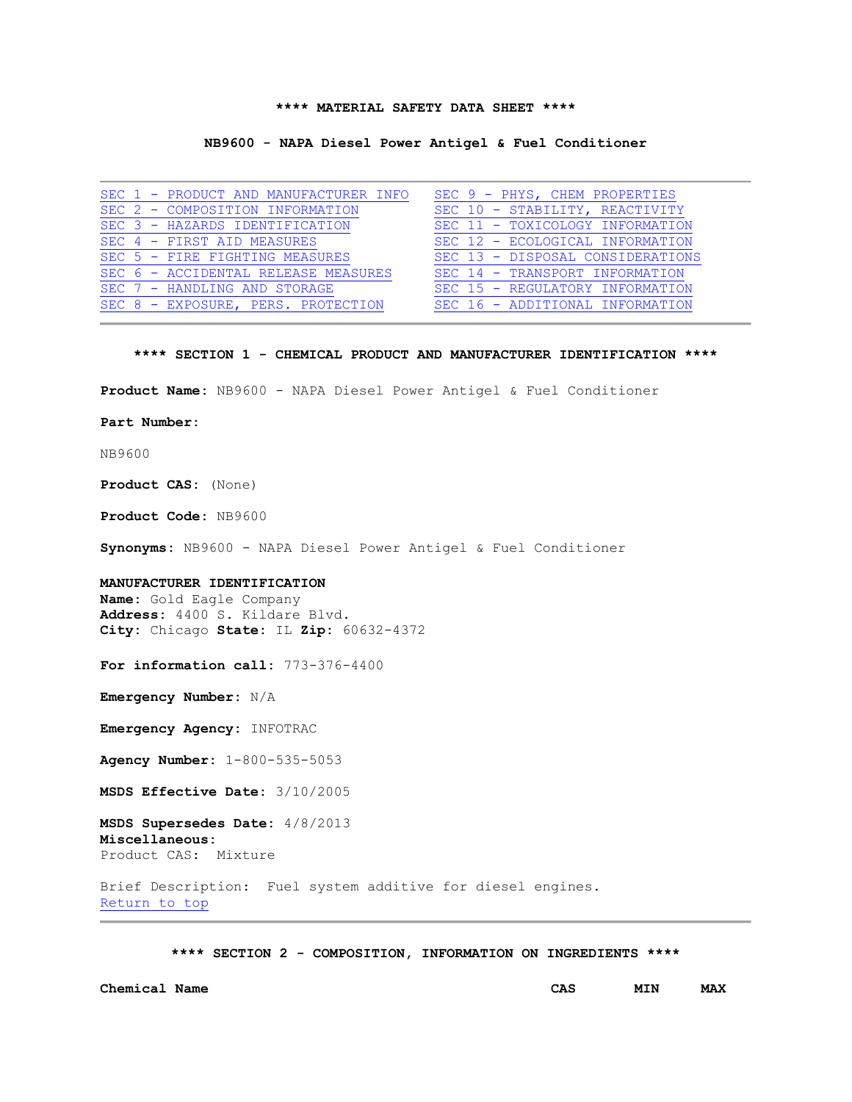## **\*\*\*\* MATERIAL SAFETY DATA SHEET \*\*\*\***

#### **NB9600 - NAPA Diesel Power Antigel & Fuel Conditioner**

|  | SEC 1 - PRODUCT AND MANUFACTURER INFO |  | SEC 9 - PHYS, CHEM PROPERTIES    |
|--|---------------------------------------|--|----------------------------------|
|  | SEC 2 - COMPOSITION INFORMATION       |  | SEC 10 - STABILITY, REACTIVITY   |
|  | SEC 3 - HAZARDS IDENTIFICATION        |  | SEC 11 - TOXICOLOGY INFORMATION  |
|  | SEC 4 - FIRST AID MEASURES            |  | SEC 12 - ECOLOGICAL INFORMATION  |
|  | SEC 5 - FIRE FIGHTING MEASURES        |  | SEC 13 - DISPOSAL CONSIDERATIONS |
|  | SEC 6 - ACCIDENTAL RELEASE MEASURES   |  | SEC 14 - TRANSPORT INFORMATION   |
|  | SEC 7 - HANDLING AND STORAGE          |  | SEC 15 - REGULATORY INFORMATION  |
|  | SEC 8 - EXPOSURE, PERS. PROTECTION    |  | SEC 16 - ADDITIONAL INFORMATION  |

## **\*\*\*\* SECTION 1 - CHEMICAL PRODUCT AND MANUFACTURER IDENTIFICATION \*\*\*\***

**Product Name:** NB9600 - NAPA Diesel Power Antigel & Fuel Conditioner

**Part Number:** 

NB9600

**Product CAS:** (None)

**Product Code:** NB9600

**Synonyms:** NB9600 - NAPA Diesel Power Antigel & Fuel Conditioner

#### **MANUFACTURER IDENTIFICATION**

**Name:** Gold Eagle Company **Address:** 4400 S. Kildare Blvd. **City:** Chicago **State:** IL **Zip:** 60632-4372

**For information call:** 773-376-4400

**Emergency Number:** N/A

**Emergency Agency:** INFOTRAC

**Agency Number:** 1-800-535-5053

**MSDS Effective Date:** 3/10/2005

**MSDS Supersedes Date:** 4/8/2013 **Miscellaneous:** Product CAS: Mixture

Brief Description: Fuel system additive for diesel engines. [Return to top](file://gesrv01/userpgms/MC%20Technologies/TERMS/cache/36000534.HTM%23HOME) 

**\*\*\*\* SECTION 2 - COMPOSITION, INFORMATION ON INGREDIENTS \*\*\*\***

**Chemical Name CAS MIN MAX**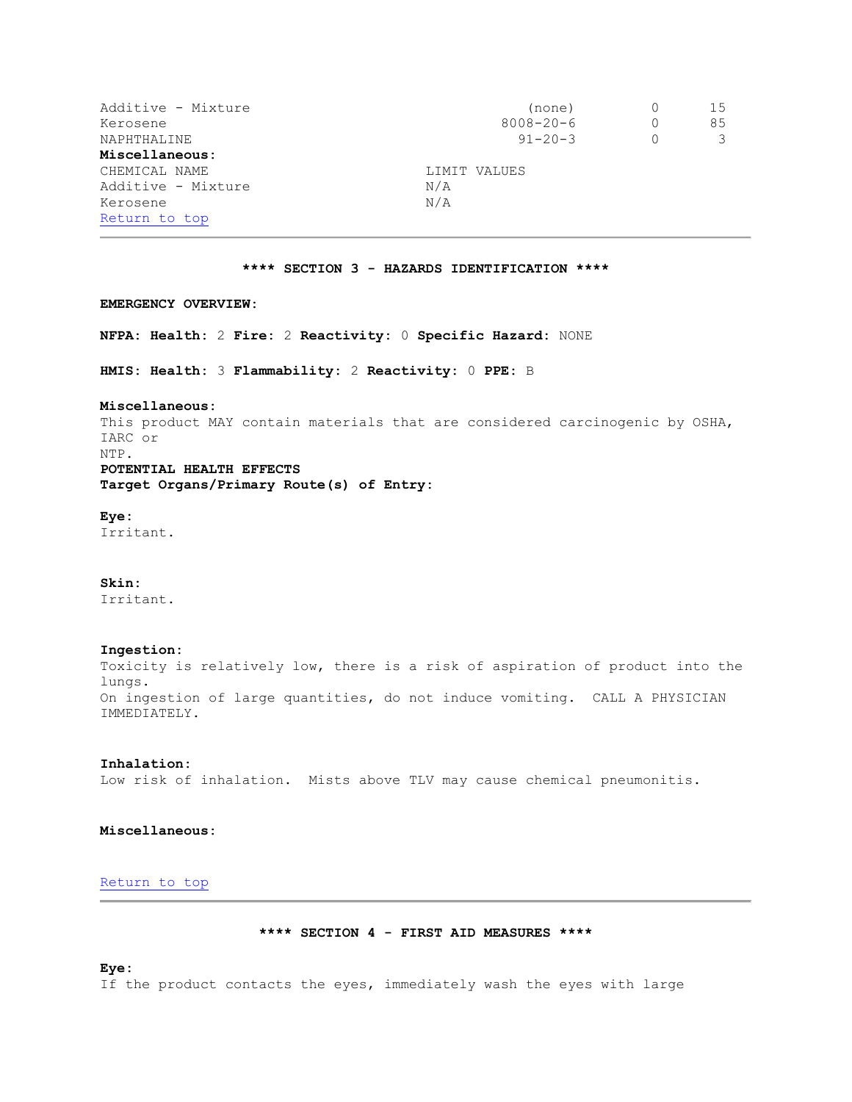| Additive - Mixture            | (none)          |          | 15 |
|-------------------------------|-----------------|----------|----|
| Kerosene                      | $8008 - 20 - 6$ | $\Omega$ | 85 |
| NAPHTHALINE                   | $91 - 20 - 3$   |          |    |
| Miscellaneous:                |                 |          |    |
| CHEMICAL NAME<br>LIMIT VALUES |                 |          |    |
| Additive - Mixture            | N/A             |          |    |
| Kerosene                      | N/A             |          |    |
| Return to top                 |                 |          |    |

# **\*\*\*\* SECTION 3 - HAZARDS IDENTIFICATION \*\*\*\***

## **EMERGENCY OVERVIEW:**

**NFPA: Health:** 2 **Fire:** 2 **Reactivity:** 0 **Specific Hazard:** NONE

**HMIS: Health:** 3 **Flammability:** 2 **Reactivity:** 0 **PPE:** B

## **Miscellaneous:**

This product MAY contain materials that are considered carcinogenic by OSHA, IARC or NTP. **POTENTIAL HEALTH EFFECTS Target Organs/Primary Route(s) of Entry:**

**Eye:** Irritant.

**Skin:** Irritant.

# **Ingestion:**

Toxicity is relatively low, there is a risk of aspiration of product into the lungs. On ingestion of large quantities, do not induce vomiting. CALL A PHYSICIAN IMMEDIATELY.

# **Inhalation:**

Low risk of inhalation. Mists above TLV may cause chemical pneumonitis.

## **Miscellaneous:**

# [Return to top](file://gesrv01/userpgms/MC%20Technologies/TERMS/cache/36000534.HTM%23HOME)

**\*\*\*\* SECTION 4 - FIRST AID MEASURES \*\*\*\***

### **Eye:**

If the product contacts the eyes, immediately wash the eyes with large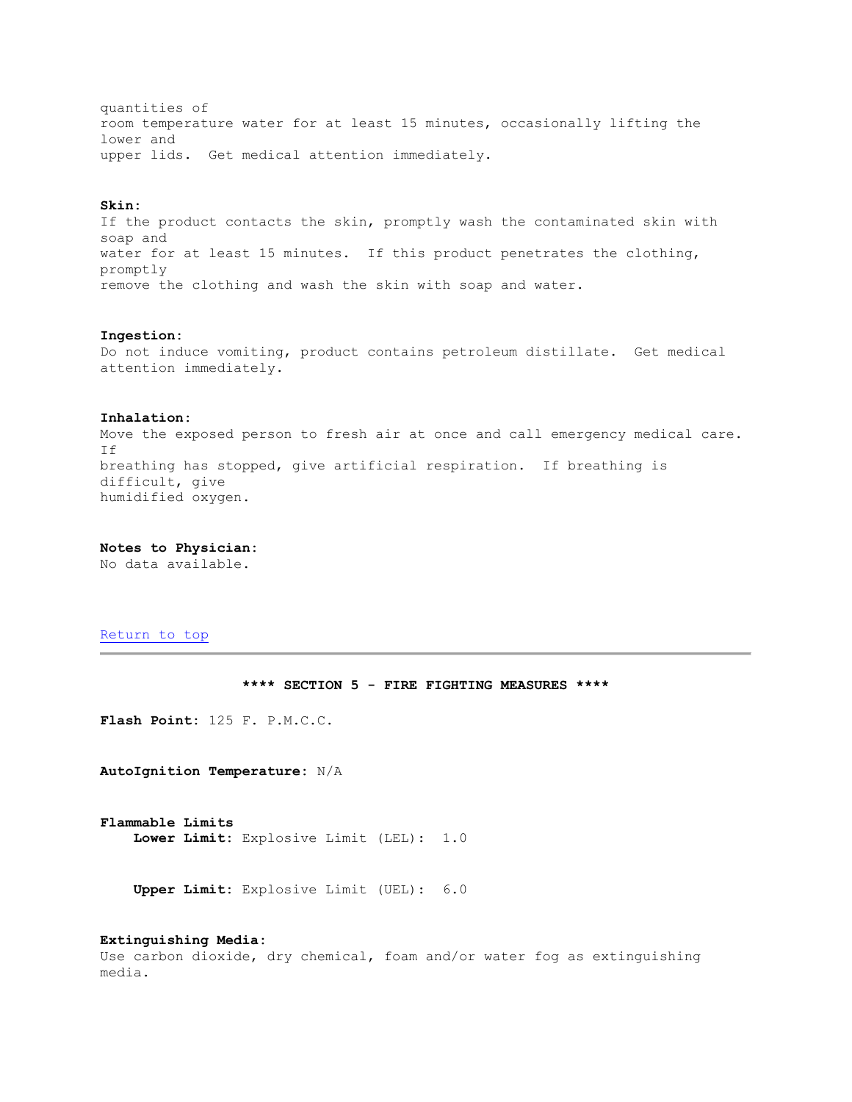quantities of room temperature water for at least 15 minutes, occasionally lifting the lower and upper lids. Get medical attention immediately.

## **Skin:**

If the product contacts the skin, promptly wash the contaminated skin with soap and water for at least 15 minutes. If this product penetrates the clothing, promptly remove the clothing and wash the skin with soap and water.

# **Ingestion:**

Do not induce vomiting, product contains petroleum distillate. Get medical attention immediately.

#### **Inhalation:**

Move the exposed person to fresh air at once and call emergency medical care. If breathing has stopped, give artificial respiration. If breathing is difficult, give humidified oxygen.

**Notes to Physician:**

No data available.

# [Return to top](file://gesrv01/userpgms/MC%20Technologies/TERMS/cache/36000534.HTM%23HOME)

# **\*\*\*\* SECTION 5 - FIRE FIGHTING MEASURES \*\*\*\***

**Flash Point:** 125 F. P.M.C.C.

**AutoIgnition Temperature:** N/A

**Flammable Limits Lower Limit:** Explosive Limit (LEL): 1.0

**Upper Limit:** Explosive Limit (UEL): 6.0

# **Extinguishing Media:**

Use carbon dioxide, dry chemical, foam and/or water fog as extinguishing media.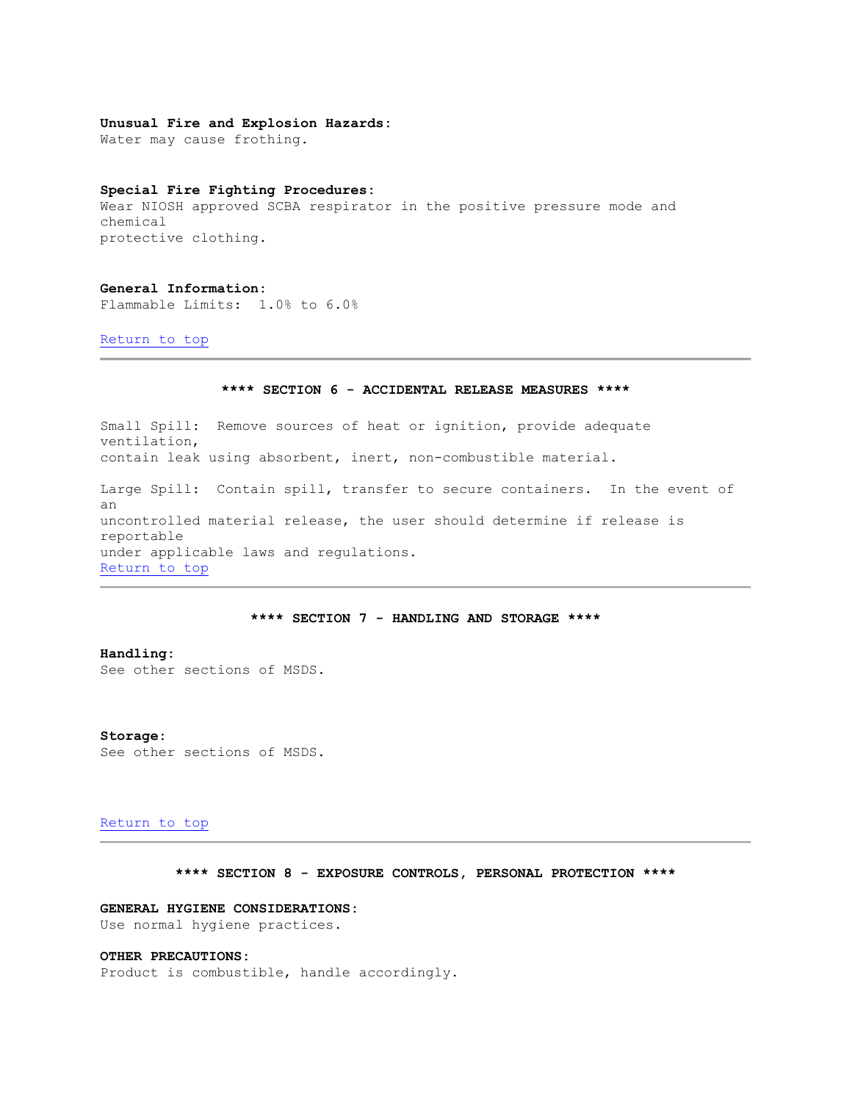## **Unusual Fire and Explosion Hazards:**

Water may cause frothing.

## **Special Fire Fighting Procedures:**

Wear NIOSH approved SCBA respirator in the positive pressure mode and chemical protective clothing.

### **General Information:**

Flammable Limits: 1.0% to 6.0%

[Return to top](file://gesrv01/userpgms/MC%20Technologies/TERMS/cache/36000534.HTM%23HOME) 

# **\*\*\*\* SECTION 6 - ACCIDENTAL RELEASE MEASURES \*\*\*\***

Small Spill: Remove sources of heat or ignition, provide adequate ventilation, contain leak using absorbent, inert, non-combustible material. Large Spill: Contain spill, transfer to secure containers. In the event of an uncontrolled material release, the user should determine if release is reportable under applicable laws and regulations. [Return to top](file://gesrv01/userpgms/MC%20Technologies/TERMS/cache/36000534.HTM%23HOME) 

# **\*\*\*\* SECTION 7 - HANDLING AND STORAGE \*\*\*\***

**Handling:** See other sections of MSDS.

## **Storage:** See other sections of MSDS.

## [Return to top](file://gesrv01/userpgms/MC%20Technologies/TERMS/cache/36000534.HTM%23HOME)

**\*\*\*\* SECTION 8 - EXPOSURE CONTROLS, PERSONAL PROTECTION \*\*\*\***

## **GENERAL HYGIENE CONSIDERATIONS:**

Use normal hygiene practices.

# **OTHER PRECAUTIONS:**

Product is combustible, handle accordingly.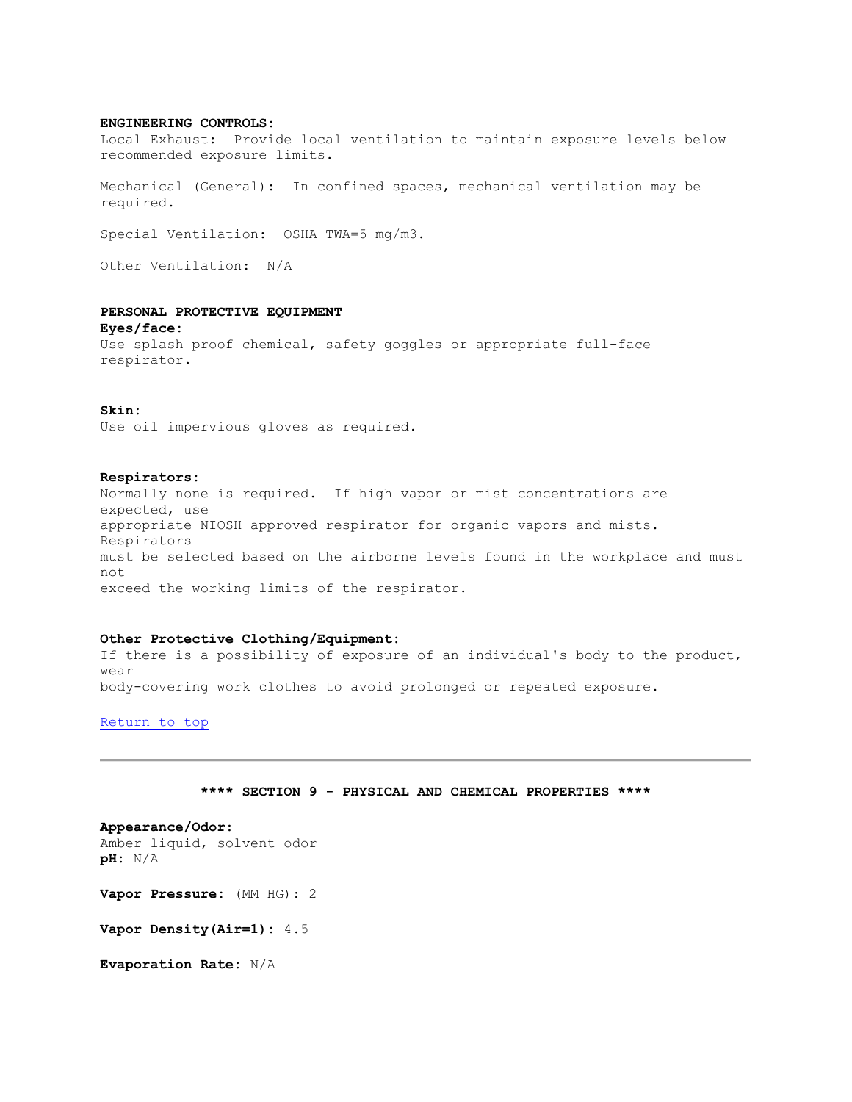# **ENGINEERING CONTROLS:**

Local Exhaust: Provide local ventilation to maintain exposure levels below recommended exposure limits.

Mechanical (General): In confined spaces, mechanical ventilation may be required.

Special Ventilation: OSHA TWA=5 mg/m3.

Other Ventilation: N/A

# **PERSONAL PROTECTIVE EQUIPMENT**

**Eyes/face:** Use splash proof chemical, safety goggles or appropriate full-face respirator.

#### **Skin:**

Use oil impervious gloves as required.

#### **Respirators:**

Normally none is required. If high vapor or mist concentrations are expected, use appropriate NIOSH approved respirator for organic vapors and mists. Respirators must be selected based on the airborne levels found in the workplace and must not exceed the working limits of the respirator.

#### **Other Protective Clothing/Equipment:**

If there is a possibility of exposure of an individual's body to the product, wear body-covering work clothes to avoid prolonged or repeated exposure.

[Return to top](file://gesrv01/userpgms/MC%20Technologies/TERMS/cache/36000534.HTM%23HOME) 

# **\*\*\*\* SECTION 9 - PHYSICAL AND CHEMICAL PROPERTIES \*\*\*\***

**Appearance/Odor:** Amber liquid, solvent odor **pH:** N/A

**Vapor Pressure:** (MM HG): 2

**Vapor Density(Air=1):** 4.5

**Evaporation Rate:** N/A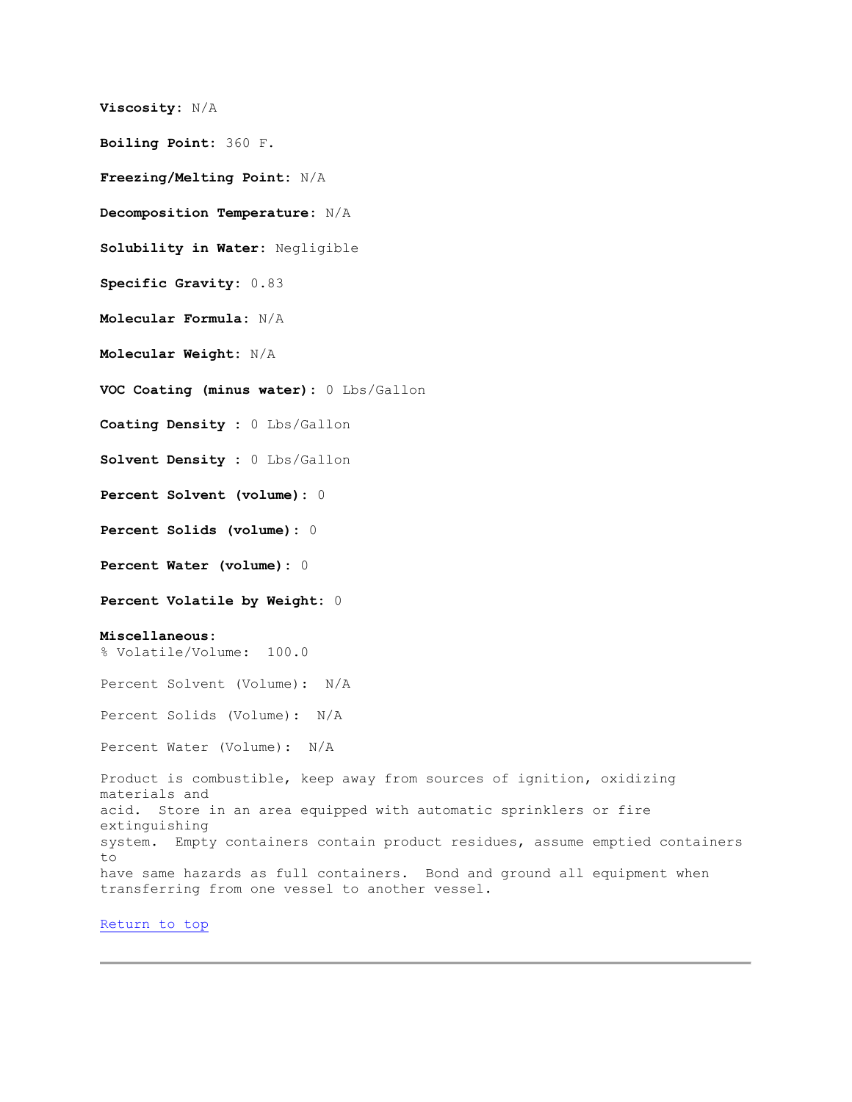```
Viscosity: N/A 
Boiling Point: 360 F. 
Freezing/Melting Point: N/A 
Decomposition Temperature: N/A 
Solubility in Water: Negligible 
Specific Gravity: 0.83 
Molecular Formula: N/A 
Molecular Weight: N/A 
VOC Coating (minus water): 0 Lbs/Gallon 
Coating Density : 0 Lbs/Gallon 
Solvent Density : 0 Lbs/Gallon 
Percent Solvent (volume): 0 
Percent Solids (volume): 0 
Percent Water (volume): 0 
Percent Volatile by Weight: 0 
Miscellaneous:
% Volatile/Volume: 100.0
Percent Solvent (Volume): N/A
Percent Solids (Volume): N/A
Percent Water (Volume): N/A
Product is combustible, keep away from sources of ignition, oxidizing 
materials and 
acid. Store in an area equipped with automatic sprinklers or fire 
extinguishing 
system. Empty containers contain product residues, assume emptied containers 
to 
have same hazards as full containers. Bond and ground all equipment when 
transferring from one vessel to another vessel.
```
[Return to top](file://gesrv01/userpgms/MC%20Technologies/TERMS/cache/36000534.HTM%23HOME)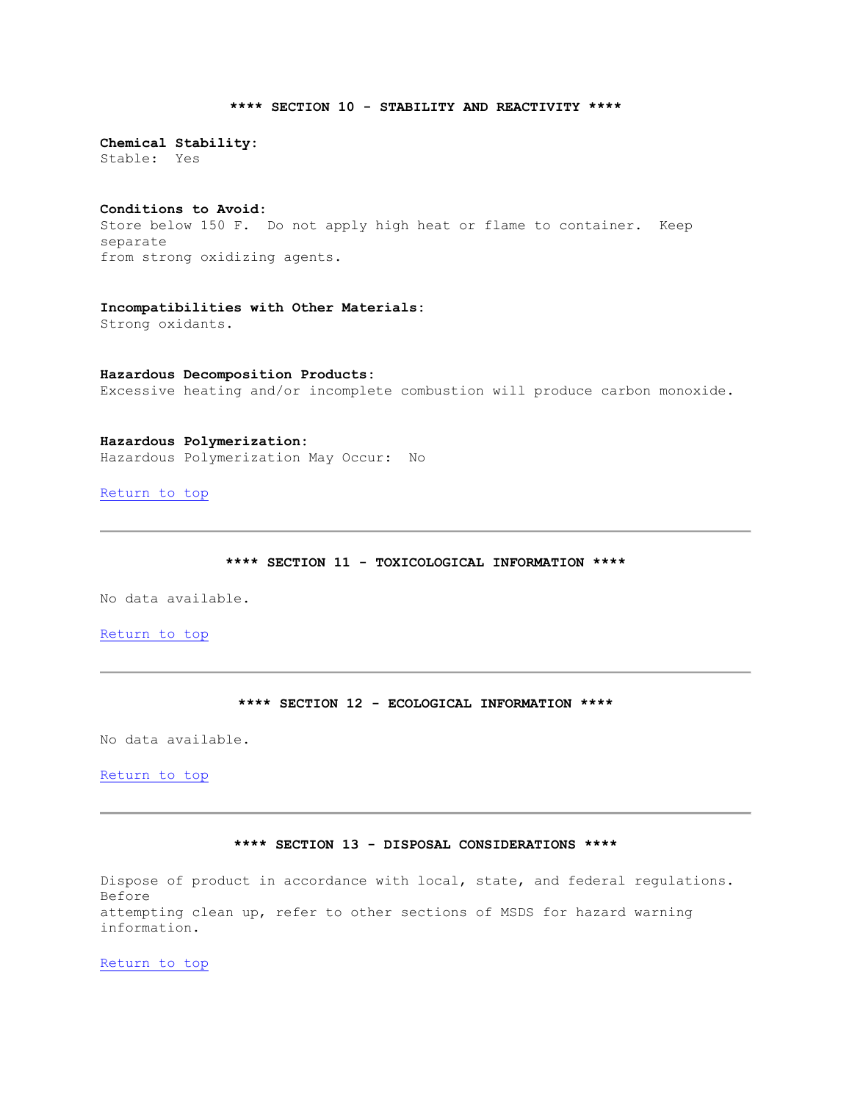# **\*\*\*\* SECTION 10 - STABILITY AND REACTIVITY \*\*\*\***

**Chemical Stability:** Stable: Yes

### **Conditions to Avoid:**

Store below 150 F. Do not apply high heat or flame to container. Keep separate from strong oxidizing agents.

**Incompatibilities with Other Materials:** Strong oxidants.

**Hazardous Decomposition Products:** Excessive heating and/or incomplete combustion will produce carbon monoxide.

**Hazardous Polymerization:** Hazardous Polymerization May Occur: No

[Return to top](file://gesrv01/userpgms/MC%20Technologies/TERMS/cache/36000534.HTM%23HOME) 

**\*\*\*\* SECTION 11 - TOXICOLOGICAL INFORMATION \*\*\*\***

No data available.

[Return to top](file://gesrv01/userpgms/MC%20Technologies/TERMS/cache/36000534.HTM%23HOME) 

# **\*\*\*\* SECTION 12 - ECOLOGICAL INFORMATION \*\*\*\***

No data available.

[Return to top](file://gesrv01/userpgms/MC%20Technologies/TERMS/cache/36000534.HTM%23HOME) 

#### **\*\*\*\* SECTION 13 - DISPOSAL CONSIDERATIONS \*\*\*\***

Dispose of product in accordance with local, state, and federal regulations. Before attempting clean up, refer to other sections of MSDS for hazard warning information.

[Return to top](file://gesrv01/userpgms/MC%20Technologies/TERMS/cache/36000534.HTM%23HOME)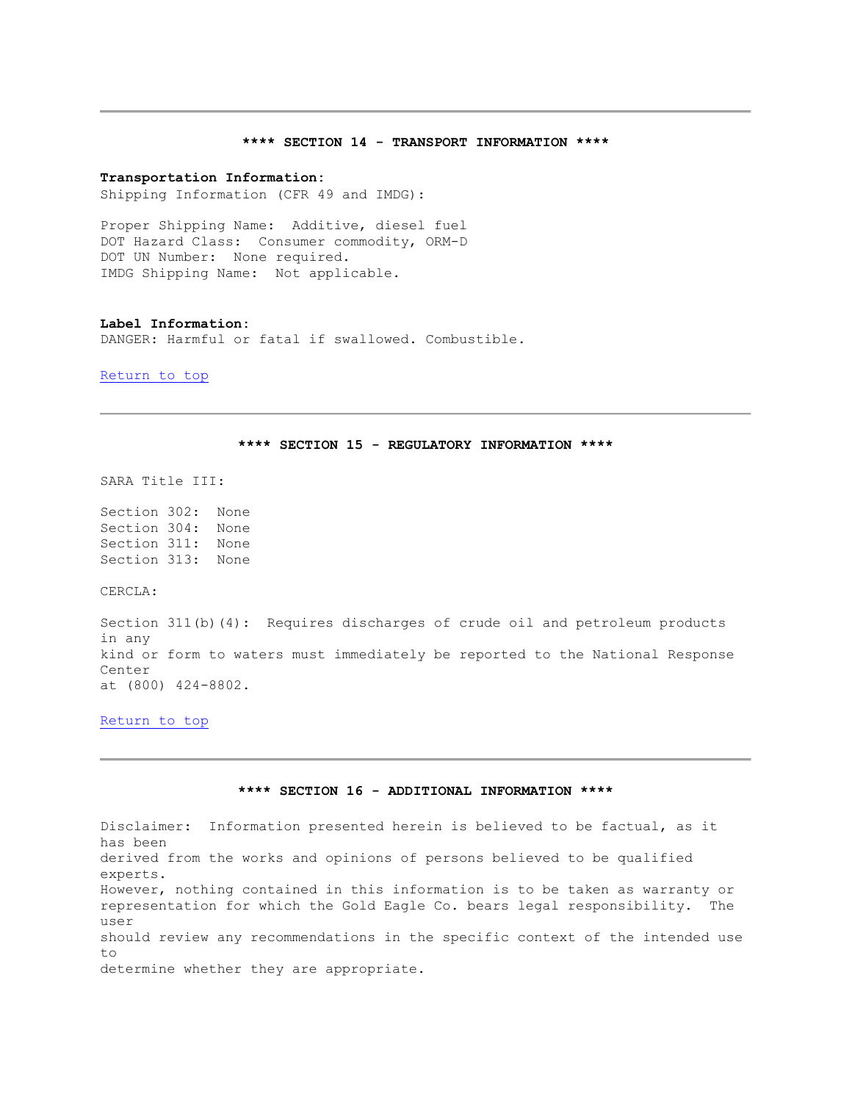#### **\*\*\*\* SECTION 14 - TRANSPORT INFORMATION \*\*\*\***

#### **Transportation Information:**

Shipping Information (CFR 49 and IMDG):

Proper Shipping Name: Additive, diesel fuel DOT Hazard Class: Consumer commodity, ORM-D DOT UN Number: None required. IMDG Shipping Name: Not applicable.

#### **Label Information:**

DANGER: Harmful or fatal if swallowed. Combustible.

[Return to top](file://gesrv01/userpgms/MC%20Technologies/TERMS/cache/36000534.HTM%23HOME) 

### **\*\*\*\* SECTION 15 - REGULATORY INFORMATION \*\*\*\***

SARA Title III:

Section 302: None Section 304: None Section 311: None Section 313: None

CERCLA:

Section 311(b)(4): Requires discharges of crude oil and petroleum products in any kind or form to waters must immediately be reported to the National Response Center at (800) 424-8802.

[Return to top](file://gesrv01/userpgms/MC%20Technologies/TERMS/cache/36000534.HTM%23HOME) 

# **\*\*\*\* SECTION 16 - ADDITIONAL INFORMATION \*\*\*\***

Disclaimer: Information presented herein is believed to be factual, as it has been derived from the works and opinions of persons believed to be qualified experts. However, nothing contained in this information is to be taken as warranty or representation for which the Gold Eagle Co. bears legal responsibility. The user should review any recommendations in the specific context of the intended use to determine whether they are appropriate.